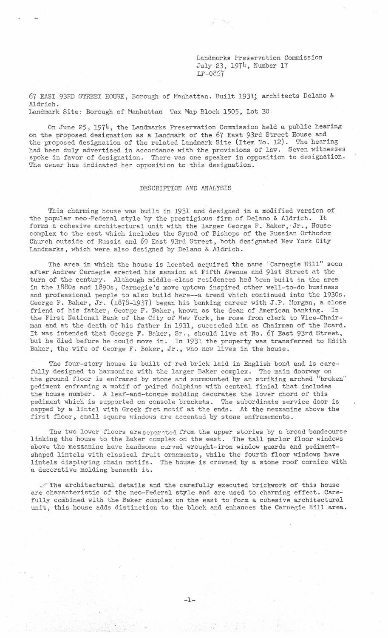Landmarks Preservation Commission July 23, 1974, Number 17 .Lp-0857

67 EAST 93RD STREET HOUSE, Borough of Manhattan . Built 1931; architects Delano & Aldrich. Landmark Site: Borough of Nanhattan Tax Map Block 1505, Lot 30.

On June 25, 1974, the Landmarks Preservation Commission held a public hearing on the proposed designation as a Landmark of the 67 East 93rd Street House and the proposed designation of the related Landmark Site (Item No. 12). The hearing had been duly advertised in accordance with the provisions of law. Seven witnesses spoke in favor of designation. There was one speaker in opposition to designation. The owner has indicated her opposition to this designation.

## DESCRIPTION AND ANALYSIS

This charming house was built in 1931 and designed in a modified version of the popular neo-Federal style by the prestigious firm of Delano & Aldrich. It forms a cohesive architectural unit with the larger George F. Baker, Jr., House complex to the east which includes the Synod of Bishops of the Russian Orthodox Church outside of Russia and 69 East 93rd Street, both designated New York City Landmarks, which were also designed by Delano & Aldrich.

The area in which the house is located acquired the name "Carnegie Hill" soon. after Andrew Carnegie erected his mansion at Fifth Avenue and 9lst Street at the turn of the century. Although middle-class residences had been built in the area in the 1880s and 1890s, Carnegie's move uptown inspired other well-to-do business and professional people to also build here--a trend which continued into the 1930s. George F. Baker, Jr. (1878-1937) began his banking career with J.P. Morgan, a close friend of his father, George F. Baker, known as the dean of American banking. In the First National Bank of the City of' New York, he rose from clerk to Vice-Cha irman and at the death of his father in 1931, succeeded him as Chairman of the Board. It was intended that George F. Baker, Sr., should live at No. 67 East 93rd Street, but he died before he could move in. In 1931 the property was transferred to Edith Baker, the wife of George F. Baker, Jr., who now lives in the house.

The four-story house is built of red brick laid in English bond and is carefully designed to harmonize with the larger Baker complex. The main doorway on the ground floor is enframed by stone and surmounted by an striking arched "broken'' pediment enframing a motif of paired dolphins with central finial that includes the house number. A leaf-and-tongue molding decorates the lower chord of this pediment which is supported on console brackets. The subordinate service door is capped by a lintel with Greek fret motif at the ends. At the mezzanine above the first floor, small square windows are accented by stone enframements.

The two lower floors are separated from the upper stories by a broad bandcourse linking the house to the Baker complex on the east. The tall parlor floor windows above the mezzanine have handsome curved wrought-iron window guards and pedimentshaped lintels with clasical fruit ornaments , while the fourth floor windows have lintels displaying chain motifs. The house is crowned by a stone roof cornice with a decorative molding beneath it .

 $\epsilon$ The architectural details and the carefully executed brickwork of this house are characteristic of the neo-Federal style and are used to charming effect. Carefully combined with the Baker complex on the east to form a cohesive architectural unit, this house adds distinction to the block and enhances the Carnegie Hill area.